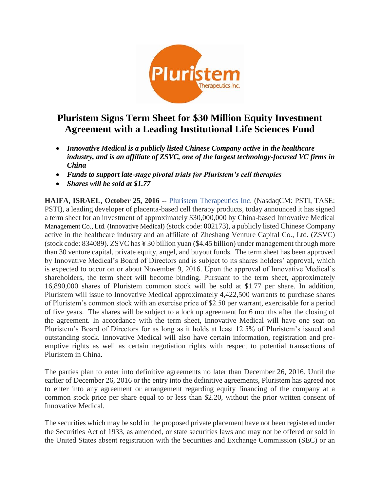

# **Pluristem Signs Term Sheet for \$30 Million Equity Investment Agreement with a Leading Institutional Life Sciences Fund**

- *Innovative Medical is a publicly listed Chinese Company active in the healthcare industry, and is an affiliate of ZSVC, one of the largest technology-focused VC firms in China*
- *Funds to support late-stage pivotal trials for Pluristem's cell therapies*
- *Shares will be sold at \$1.77*

**HAIFA, ISRAEL, October 25, 2016 --** [Pluristem Therapeutics Inc.](http://www.pluristem.com/) (NasdaqCM: PSTI, TASE: PSTI), a leading developer of placenta-based cell therapy products, today announced it has signed a term sheet for an investment of approximately \$30,000,000 by China-based Innovative Medical Management Co., Ltd. (Innovative Medical) (stock code: 002173), a publicly listed Chinese Company active in the healthcare industry and an affiliate of Zheshang Venture Capital Co., Ltd. (ZSVC) (stock code: 834089). ZSVC has ¥ 30 billion yuan (\$4.45 billion) under management through more than 30 venture capital, private equity, angel, and buyout funds. The term sheet has been approved by Innovative Medical's Board of Directors and is subject to its shares holders' approval, which is expected to occur on or about November 9, 2016. Upon the approval of Innovative Medical's shareholders, the term sheet will become binding. Pursuant to the term sheet, approximately 16,890,000 shares of Pluristem common stock will be sold at \$1.77 per share. In addition, Pluristem will issue to Innovative Medical approximately 4,422,500 warrants to purchase shares of Pluristem's common stock with an exercise price of \$2.50 per warrant, exercisable for a period of five years. The shares will be subject to a lock up agreement for 6 months after the closing of the agreement. In accordance with the term sheet, Innovative Medical will have one seat on Pluristem's Board of Directors for as long as it holds at least 12.5% of Pluristem's issued and outstanding stock. Innovative Medical will also have certain information, registration and preemptive rights as well as certain negotiation rights with respect to potential transactions of Pluristem in China.

The parties plan to enter into definitive agreements no later than December 26, 2016. Until the earlier of December 26, 2016 or the entry into the definitive agreements, Pluristem has agreed not to enter into any agreement or arrangement regarding equity financing of the company at a common stock price per share equal to or less than \$2.20, without the prior written consent of Innovative Medical.

The securities which may be sold in the proposed private placement have not been registered under the Securities Act of 1933, as amended, or state securities laws and may not be offered or sold in the United States absent registration with the Securities and Exchange Commission (SEC) or an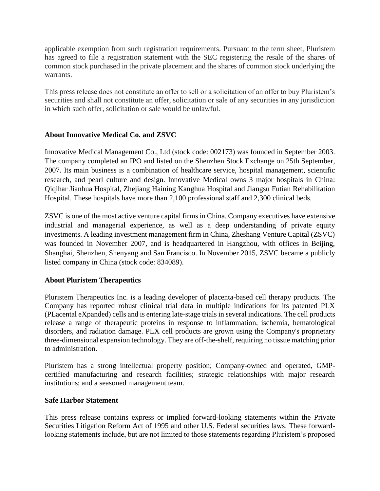applicable exemption from such registration requirements. Pursuant to the term sheet, Pluristem has agreed to file a registration statement with the SEC registering the resale of the shares of common stock purchased in the private placement and the shares of common stock underlying the warrants.

This press release does not constitute an offer to sell or a solicitation of an offer to buy Pluristem's securities and shall not constitute an offer, solicitation or sale of any securities in any jurisdiction in which such offer, solicitation or sale would be unlawful.

## **About Innovative Medical Co. and ZSVC**

Innovative Medical Management Co., Ltd (stock code: 002173) was founded in September 2003. The company completed an IPO and listed on the Shenzhen Stock Exchange on 25th September, 2007. Its main business is a combination of healthcare service, hospital management, scientific research, and pearl culture and design. Innovative Medical owns 3 major hospitals in China: Qiqihar Jianhua Hospital, Zhejiang Haining Kanghua Hospital and Jiangsu Futian Rehabilitation Hospital. These hospitals have more than 2,100 professional staff and 2,300 clinical beds.

ZSVC is one of the most active venture capital firms in China. Company executives have extensive industrial and managerial experience, as well as a deep understanding of private equity investments. A leading investment management firm in China, Zheshang Venture Capital (ZSVC) was founded in November 2007, and is headquartered in Hangzhou, with offices in Beijing, Shanghai, Shenzhen, Shenyang and San Francisco. In November 2015, ZSVC became a publicly listed company in China (stock code: 834089).

### **About Pluristem Therapeutics**

Pluristem Therapeutics Inc. is a leading developer of placenta-based cell therapy products. The Company has reported robust clinical trial data in multiple indications for its patented PLX (PLacental eXpanded) cells and is entering late-stage trials in several indications. The cell products release a range of therapeutic proteins in response to inflammation, ischemia, hematological disorders, and radiation damage. PLX cell products are grown using the Company's proprietary three-dimensional expansion technology. They are off-the-shelf, requiring no tissue matching prior to administration.

Pluristem has a strong intellectual property position; Company-owned and operated, GMPcertified manufacturing and research facilities; strategic relationships with major research institutions; and a seasoned management team.

### **Safe Harbor Statement**

This press release contains express or implied forward-looking statements within the Private Securities Litigation Reform Act of 1995 and other U.S. Federal securities laws. These forwardlooking statements include, but are not limited to those statements regarding Pluristem's proposed